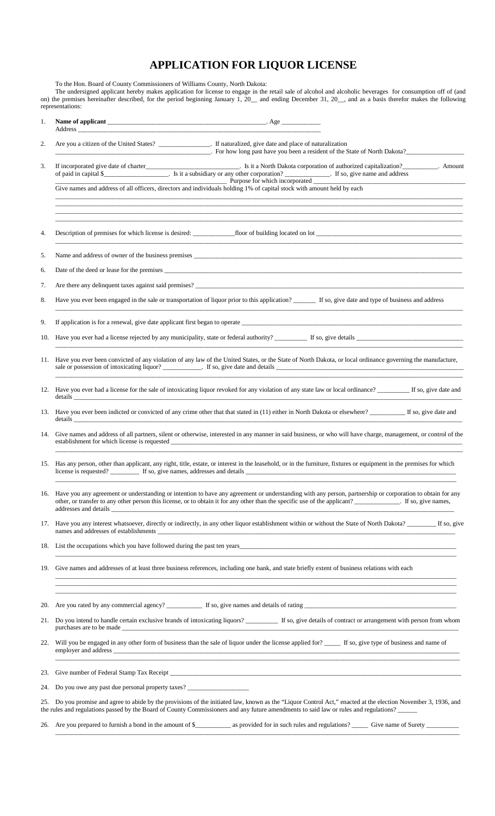## **APPLICATION FOR LIQUOR LICENSE**

To the Hon. Board of County Commissioners of Williams County, North Dakota:

The undersigned applicant hereby makes application for license to engage in the retail sale of alcohol and alcoholic beverages for consumption off of (and on) the premises hereinafter described, for the period beginning January 1, 20\_\_ and ending December 31, 20\_\_, and as a basis therefor makes the following representations:

| 1.  | Address and the contract of the contract of the contract of the contract of the contract of the contract of the contract of the contract of the contract of the contract of the contract of the contract of the contract of th                                                                          |  |
|-----|---------------------------------------------------------------------------------------------------------------------------------------------------------------------------------------------------------------------------------------------------------------------------------------------------------|--|
| 2.  | Are you a citizen of the United States? ______________. If naturalized, give date and place of naturalization<br>For how long past have you been a resident of the State of North Dakota?                                                                                                               |  |
|     | 3.<br>of paid in capital \$                                                                                                                                                                                                                                                                             |  |
|     | <u> 1989 - Johann John Stoff, deutscher Stoffen und der Stoffen und der Stoffen und der Stoffen und der Stoffen u</u>                                                                                                                                                                                   |  |
| 4.  |                                                                                                                                                                                                                                                                                                         |  |
| 5.  |                                                                                                                                                                                                                                                                                                         |  |
| 6.  |                                                                                                                                                                                                                                                                                                         |  |
|     | 7.                                                                                                                                                                                                                                                                                                      |  |
|     | Have you ever been engaged in the sale or transportation of liquor prior to this application? ______ If so, give date and type of business and address<br>8.                                                                                                                                            |  |
|     | 9.                                                                                                                                                                                                                                                                                                      |  |
| 10. |                                                                                                                                                                                                                                                                                                         |  |
| 11. | Have you ever been convicted of any violation of any law of the United States, or the State of North Dakota, or local ordinance governing the manufacture,                                                                                                                                              |  |
|     | Have you ever had a license for the sale of intoxicating liquor revoked for any violation of any state law or local ordinance? If so, give date and<br>12.                                                                                                                                              |  |
|     | 13. Have you ever been indicted or convicted of any crime other that that stated in (11) either in North Dakota or elsewhere? __________ If so, give date and                                                                                                                                           |  |
|     | Give names and address of all partners, silent or otherwise, interested in any manner in said business, or who will have charge, management, or control of the<br>14.                                                                                                                                   |  |
|     | Has any person, other than applicant, any right, title, estate, or interest in the leasehold, or in the furniture, fixtures or equipment in the premises for which<br>15.                                                                                                                               |  |
|     | 16. Have you any agreement or understanding or intention to have any agreement or understanding with any person, partnership or corporation to obtain for any<br>other, or transfer to any other person this license, or to obtain it for any other than the specific use of the applicant?             |  |
|     | 17. Have you any interest whatsoever, directly or indirectly, in any other liquor establishment within or without the State of North Dakota?                                                                                                                                                            |  |
|     | 18. List the occupations which you have followed during the past ten years.<br>and the control of the control of the control of the control of the control of the control of the control of the                                                                                                         |  |
| 19. | Give names and addresses of at least three business references, including one bank, and state briefly extent of business relations with each                                                                                                                                                            |  |
|     | 20.                                                                                                                                                                                                                                                                                                     |  |
|     | 21. Do you intend to handle certain exclusive brands of intoxicating liquors? ___________ If so, give details of contract or arrangement with person from whom<br>purchases are to be made                                                                                                              |  |
|     | Will you be engaged in any other form of business than the sale of liquor under the license applied for? ______ If so, give type of business and name of<br>22.                                                                                                                                         |  |
|     | 23.                                                                                                                                                                                                                                                                                                     |  |
|     | 24. Do you owe any past due personal property taxes?                                                                                                                                                                                                                                                    |  |
|     | 25. Do you promise and agree to abide by the provisions of the initiated law, known as the "Liquor Control Act," enacted at the election November 3, 1936, and<br>the rules and regulations passed by the Board of County Commissioners and any future amendments to said law or rules and regulations? |  |
|     |                                                                                                                                                                                                                                                                                                         |  |